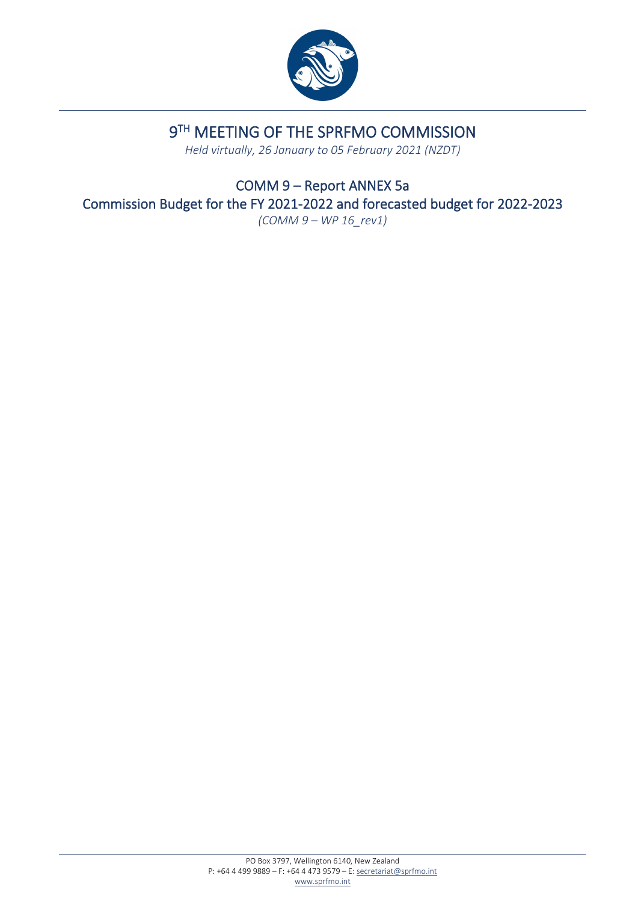

## 9TH MEETING OF THE SPRFMO COMMISSION

*Held virtually, 26 January to 05 February 2021 (NZDT)*

COMM 9 – Report ANNEX 5a Commission Budget for the FY 2021-2022 and forecasted budget for 2022-2023 *(COMM 9 – WP 16\_rev1)*